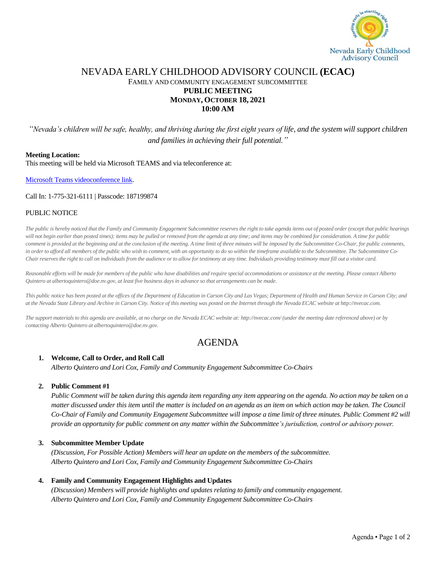

# NEVADA EARLY CHILDHOOD ADVISORY COUNCIL **(ECAC)** FAMILY AND COMMUNITY ENGAGEMENT SUBCOMMITTEE **PUBLIC MEETING MONDAY, OCTOBER 18, 2021 10:00 AM**

*"Nevada's children will be safe, healthy, and thriving during the first eight years of life, and the system will support children and families in achieving their full potential."*

#### **Meeting Location:**

This meeting will be held via Microsoft TEAMS and via teleconference at:

Microsoft Teams [videoconference link.](https://teams.microsoft.com/l/meetup-join/19%3ameeting_NWJiNTQ4YWItNjBmYS00Mzk4LTkzMWYtYjAwZDVjNTlkOGM5%40thread.v2/0?context=%7b%22Tid%22%3a%22e4a340e6-b89e-4e68-8eaa-1544d2703980%22%2c%22Oid%22%3a%229cd8fa51-2258-4e41-a814-edb33e6c4f91%22%7d)

#### Call In: 1-775-321-6111 | Passcode: 187199874

#### PUBLIC NOTICE

*The public is hereby noticed that the Family and Community Engagement Subcommittee reserves the right to take agenda items out of posted order (except that public hearings*  will not begin earlier than posted times); items may be pulled or removed from the agenda at any time; and items may be combined for consideration. A time for public *comment is provided at the beginning and at the conclusion of the meeting. A time limit of three minutes will be imposed by the Subcommittee Co-Chair, for public comments, in order to afford all members of the public who wish to comment, with an opportunity to do so within the timeframe available to the Subcommittee. The Subcommittee Co-Chair reserves the right to call on individuals from the audience or to allow for testimony at any time. Individuals providing testimony must fill out a visitor card.* 

*Reasonable efforts will be made for members of the public who have disabilities and require special accommodations or assistance at the meeting. Please contact Alberto Quintero at albertoquintero@doe.nv.gov, at least five business days in advance so that arrangements can be made.*

*This public notice has been posted at the offices of the Department of Education in Carson City and Las Vegas; Department of Health and Human Service in Carson City; and at the Nevada State Library and Archive in Carson City. Notice of this meeting was posted on the Internet through the Nevada ECAC website at http://nvecac.com.*

*The support materials to this agenda are available, at no charge on the Nevada ECAC website at: http://nvecac.com/ (under the meeting date referenced above) or by contacting Alberto Quintero at albertoquintero@doe.nv.gov.*

# AGENDA

#### **1. Welcome, Call to Order, and Roll Call**

*Alberto Quintero and Lori Cox, Family and Community Engagement Subcommittee Co-Chairs*

#### **2. Public Comment #1**

*Public Comment will be taken during this agenda item regarding any item appearing on the agenda. No action may be taken on a matter discussed under this item until the matter is included on an agenda as an item on which action may be taken. The Council Co-Chair of Family and Community Engagement Subcommittee will impose a time limit of three minutes. Public Comment #2 will provide an opportunity for public comment on any matter within the Subcommittee's jurisdiction, control or advisory power.*

## **3. Subcommittee Member Update**

*(Discussion, For Possible Action) Members will hear an update on the members of the subcommittee. Alberto Quintero and Lori Cox, Family and Community Engagement Subcommittee Co-Chairs*

## **4. Family and Community Engagement Highlights and Updates**

*(Discussion) Members will provide highlights and updates relating to family and community engagement. Alberto Quintero and Lori Cox, Family and Community Engagement Subcommittee Co-Chairs*